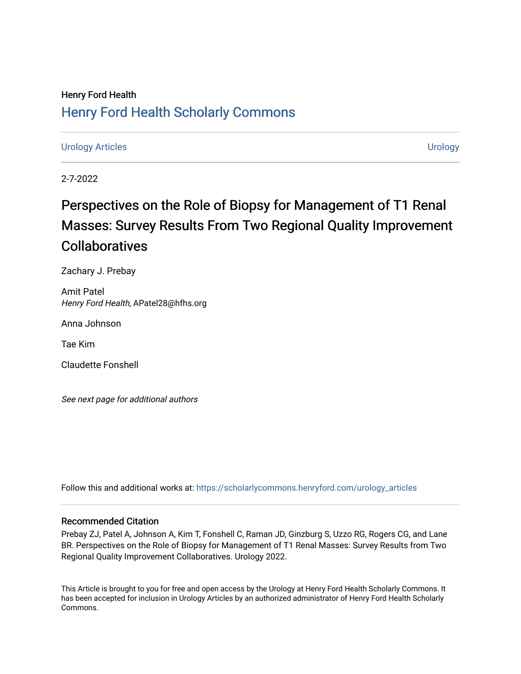### Henry Ford Health [Henry Ford Health Scholarly Commons](https://scholarlycommons.henryford.com/)

[Urology Articles](https://scholarlycommons.henryford.com/urology_articles) [Urology](https://scholarlycommons.henryford.com/urology) 

2-7-2022

# Perspectives on the Role of Biopsy for Management of T1 Renal Masses: Survey Results From Two Regional Quality Improvement Collaboratives

Zachary J. Prebay

Amit Patel Henry Ford Health, APatel28@hfhs.org

Anna Johnson

Tae Kim

Claudette Fonshell

See next page for additional authors

Follow this and additional works at: [https://scholarlycommons.henryford.com/urology\\_articles](https://scholarlycommons.henryford.com/urology_articles?utm_source=scholarlycommons.henryford.com%2Furology_articles%2F446&utm_medium=PDF&utm_campaign=PDFCoverPages)

### Recommended Citation

Prebay ZJ, Patel A, Johnson A, Kim T, Fonshell C, Raman JD, Ginzburg S, Uzzo RG, Rogers CG, and Lane BR. Perspectives on the Role of Biopsy for Management of T1 Renal Masses: Survey Results from Two Regional Quality Improvement Collaboratives. Urology 2022.

This Article is brought to you for free and open access by the Urology at Henry Ford Health Scholarly Commons. It has been accepted for inclusion in Urology Articles by an authorized administrator of Henry Ford Health Scholarly Commons.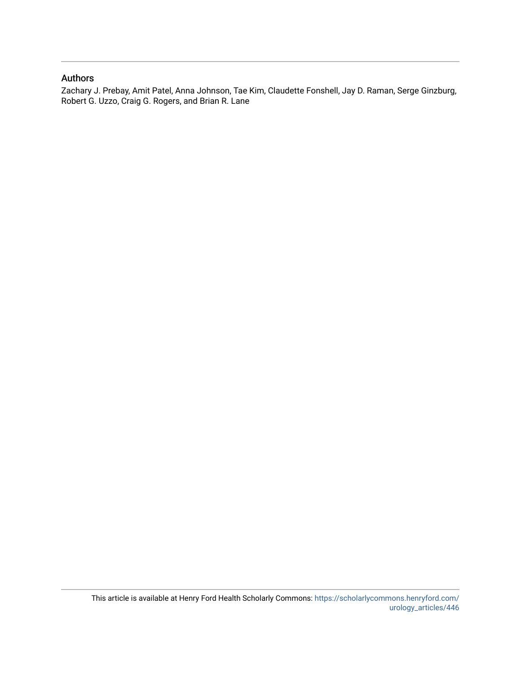### Authors

Zachary J. Prebay, Amit Patel, Anna Johnson, Tae Kim, Claudette Fonshell, Jay D. Raman, Serge Ginzburg, Robert G. Uzzo, Craig G. Rogers, and Brian R. Lane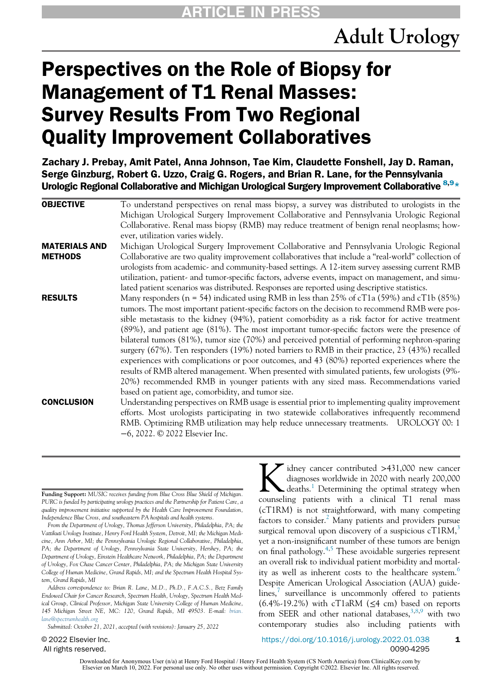# Perspectives on the Role of Biopsy for Management of T1 Renal Masses: Survey Results From Two Regional Quality Improvement Collaboratives

Zachary J. Prebay, Amit Patel, Anna Johnson, Tae Kim, Claudette Fonshell, Jay D. Raman, Serge Ginzburg, Robert G. Uzzo, Craig G. Rogers, and Brian R. Lane, for the Pennsylvania Urologic Regional Collaborative and Michigan Urological Surgery Improvement Collaborative  $8.9*$  $8.9*$ 

| <b>OBJECTIVE</b>     | To understand perspectives on renal mass biopsy, a survey was distributed to urologists in the                          |
|----------------------|-------------------------------------------------------------------------------------------------------------------------|
|                      | Michigan Urological Surgery Improvement Collaborative and Pennsylvania Urologic Regional                                |
|                      | Collaborative. Renal mass biopsy (RMB) may reduce treatment of benign renal neoplasms; how-                             |
|                      | ever, utilization varies widely.                                                                                        |
| <b>MATERIALS AND</b> | Michigan Urological Surgery Improvement Collaborative and Pennsylvania Urologic Regional                                |
| <b>METHODS</b>       | Collaborative are two quality improvement collaboratives that include a "real-world" collection of                      |
|                      | urologists from academic- and community-based settings. A 12-item survey assessing current RMB                          |
|                      | utilization, patient- and tumor-specific factors, adverse events, impact on management, and simu-                       |
|                      | lated patient scenarios was distributed. Responses are reported using descriptive statistics.                           |
| <b>RESULTS</b>       | Many responders ( $n = 54$ ) indicated using RMB in less than 25% of cT1a (59%) and cT1b (85%)                          |
|                      | tumors. The most important patient-specific factors on the decision to recommend RMB were pos-                          |
|                      | sible metastasis to the kidney (94%), patient comorbidity as a risk factor for active treatment                         |
|                      | (89%), and patient age (81%). The most important tumor-specific factors were the presence of                            |
|                      | bilateral tumors (81%), tumor size (70%) and perceived potential of performing nephron-sparing                          |
|                      | surgery $(67%)$ . Ten responders $(19%)$ noted barriers to RMB in their practice, 23 $(43%)$ recalled                   |
|                      | experiences with complications or poor outcomes, and 43 (80%) reported experiences where the                            |
|                      | results of RMB altered management. When presented with simulated patients, few urologists (9%-                          |
|                      | 20%) recommended RMB in younger patients with any sized mass. Recommendations varied                                    |
|                      | based on patient age, comorbidity, and tumor size.                                                                      |
| <b>CONCLUSION</b>    | Understanding perspectives on RMB usage is essential prior to implementing quality improvement                          |
|                      | efforts. Most urologists participating in two statewide collaboratives infrequently recommend                           |
|                      | RMB. Optimizing RMB utilization may help reduce unnecessary treatments. UROLOGY 00: 1<br>-6, 2022. © 2022 Elsevier Inc. |
|                      |                                                                                                                         |

Funding Support: MUSIC receives funding from Blue Cross Blue Shield of Michigan. PURC is funded by participating urology practices and the Partnership for Patient Care, a quality improvement initiative supported by the Health Care Improvement Foundation, Independence Blue Cross, and southeastern PA hospitals and health systems.

From the Department of Urology, Thomas Jefferson University, Philadelphia, PA; the Vattikuti Urology Institute, Henry Ford Health System, Detroit, MI; the Michigan Medicine, Ann Arbor, MI; the Pennsylvania Urologic Regional Collaborative, Philadelphia, PA; the Department of Urology, Pennsylvania State University, Hershey, PA; the Department of Urology, Einstein Healthcare Network, Philadelphia, PA; the Department of Urology, Fox Chase Cancer Center, Philadelphia, PA; the Michigan State University College of Human Medicine, Grand Rapids, MI; and the Spectrum Health Hospital System, Grand Rapids, MI

<span id="page-2-0"></span>Address correspondence to: Brian R. Lane, M.D., Ph.D., F.A.C.S., Betz Family Endowed Chair for Cancer Research, Spectrum Health, Urology, Spectrum Health Medical Group, Clinical Professor, Michigan State University College of Human Medicine, 145 Michigan Street NE, MC: 120, Grand Rapids, MI 49503. E-mail: [brian.](mailto:E\-mail: $60#ce:e\-address id\=) [lane@spectrumhealth.org](mailto:E\-mail: $60#ce:e\-address id\=)

Submitted: October 21, 2021, accepted (with revisions): January 25, 2022

© 2022 Elsevier Inc. All rights reserved.

K idney cancer contributed >431,000 new cancer<br>diagnoses worldwide in 2020 with nearly 200,000<br>deaths.<sup>1</sup> Determining the optimal strategy when diagnoses worldwide in 2020 with nearly 200,000 counseling patients with a clinical T1 renal mass (cT1RM) is not straightforward, with many competing factors to consider.<sup>[2](#page-6-1)</sup> Many patients and providers pursue surgical removal upon discovery of a suspicious  $cT1RM$ ,<sup>3</sup> yet a non-insignificant number of these tumors are benign on final pathology. $4,5$  $4,5$  $4,5$  These avoidable surgeries represent an overall risk to individual patient morbidity and mortal-ity as well as inherent costs to the healthcare system.<sup>[6](#page-6-5)</sup> Despite American Urological Association (AUA) guidelines, surveillance is uncommonly offered to patients  $(6.4\% - 19.2\%)$  with cT1aRM ( $\leq 4$  cm) based on reports from SEER and other national databases,  $3,8,9$  $3,8,9$  $3,8,9$  with two contemporary studies also including patients with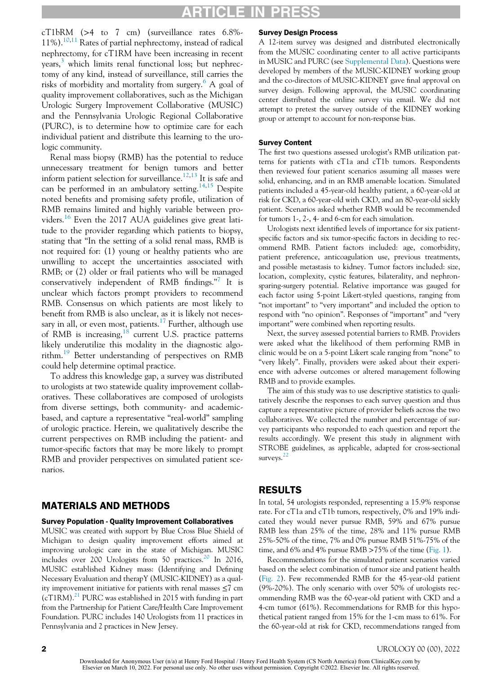# ARTICLE IN PRESS

cT1bRM (>4 to 7 cm) (surveillance rates 6.8%- 11%).<sup>[10,](#page-6-9)[11](#page-6-10)</sup> Rates of partial nephrectomy, instead of radical nephrectomy, for cT1RM have been increasing in recent years, [3](#page-6-2) which limits renal functional loss; but nephrectomy of any kind, instead of surveillance, still carries the risks of morbidity and mortality from surgery.<sup>[6](#page-6-5)</sup> A goal of quality improvement collaboratives, such as the Michigan Urologic Surgery Improvement Collaborative (MUSIC) and the Pennsylvania Urologic Regional Collaborative (PURC), is to determine how to optimize care for each individual patient and distribute this learning to the urologic community.

Renal mass biopsy (RMB) has the potential to reduce unnecessary treatment for benign tumors and better inform patient selection for surveillance.<sup>[12](#page-6-11)[,13](#page-6-12)</sup> It is safe and can be performed in an ambulatory setting.<sup>[14](#page-6-13)[,15](#page-6-14)</sup> Despite noted benefits and promising safety profile, utilization of RMB remains limited and highly variable between pro-viders.<sup>[16](#page-7-0)</sup> Even the 2017 AUA guidelines give great latitude to the provider regarding which patients to biopsy, stating that "In the setting of a solid renal mass, RMB is not required for: (1) young or healthy patients who are unwilling to accept the uncertainties associated with RMB; or (2) older or frail patients who will be managed conservatively independent of RMB findings."<sup>[7](#page-6-6)</sup> It is unclear which factors prompt providers to recommend RMB. Consensus on which patients are most likely to benefit from RMB is also unclear, as it is likely not neces-sary in all, or even most, patients.<sup>[17](#page-7-1)</sup> Further, although use of RMB is increasing,  $18$  current U.S. practice patterns likely underutilize this modality in the diagnostic algo-rithm.<sup>[19](#page-7-3)</sup> Better understanding of perspectives on RMB could help determine optimal practice.

To address this knowledge gap, a survey was distributed to urologists at two statewide quality improvement collaboratives. These collaboratives are composed of urologists from diverse settings, both community- and academicbased, and capture a representative "real-world" sampling of urologic practice. Herein, we qualitatively describe the current perspectives on RMB including the patient- and tumor-specific factors that may be more likely to prompt RMB and provider perspectives on simulated patient scenarios.

#### MATERIALS AND METHODS

#### Survey Population - Quality Improvement Collaboratives

MUSIC was created with support by Blue Cross Blue Shield of Michigan to design quality improvement efforts aimed at improving urologic care in the state of Michigan. MUSIC includes over [20](#page-7-4)0 Urologists from 50 practices.<sup>20</sup> In 2016, MUSIC established Kidney mass: (Identifying and Defining Necessary Evaluation and therapY (MUSIC-KIDNEY) as a quality improvement initiative for patients with renal masses ≤7 cm  $(cT1RM).<sup>21</sup>$  PURC was established in 2015 with funding in part from the Partnership for Patient Care/Health Care Improvement Foundation. PURC includes 140 Urologists from 11 practices in Pennsylvania and 2 practices in New Jersey.

#### Survey Design Process

A 12-item survey was designed and distributed electronically from the MUSIC coordinating center to all active participants in MUSIC and PURC (see [Supplemental Data\)](#page-6-15). Questions were developed by members of the MUSIC-KIDNEY working group and the co-directors of MUSIC-KIDNEY gave final approval on survey design. Following approval, the MUSIC coordinating center distributed the online survey via email. We did not attempt to pretest the survey outside of the KIDNEY working group or attempt to account for non-response bias.

#### Survey Content

The first two questions assessed urologist's RMB utilization patterns for patients with cT1a and cT1b tumors. Respondents then reviewed four patient scenarios assuming all masses were solid, enhancing, and in an RMB amenable location. Simulated patients included a 45-year-old healthy patient, a 60-year-old at risk for CKD, a 60-year-old with CKD, and an 80-year-old sickly patient. Scenarios asked whether RMB would be recommended for tumors 1-, 2-, 4- and 6-cm for each simulation.

Urologists next identified levels of importance for six patientspecific factors and six tumor-specific factors in deciding to recommend RMB. Patient factors included: age, comorbidity, patient preference, anticoagulation use, previous treatments, and possible metastasis to kidney. Tumor factors included: size, location, complexity, cystic features, bilaterality, and nephronsparing-surgery potential. Relative importance was gauged for each factor using 5-point Likert-styled questions, ranging from "not important" to "very important" and included the option to respond with "no opinion". Responses of "important" and "very important" were combined when reporting results.

Next, the survey assessed potential barriers to RMB. Providers were asked what the likelihood of them performing RMB in clinic would be on a 5-point Likert scale ranging from "none" to "very likely". Finally, providers were asked about their experience with adverse outcomes or altered management following RMB and to provide examples.

The aim of this study was to use descriptive statistics to qualitatively describe the responses to each survey question and thus capture a representative picture of provider beliefs across the two collaboratives. We collected the number and percentage of survey participants who responded to each question and report the results accordingly. We present this study in alignment with STROBE guidelines, as applicable, adapted for cross-sectional surveys.<sup>[22](#page-7-6)</sup>

### RESULTS

In total, 54 urologists responded, representing a 15.9% response rate. For cT1a and cT1b tumors, respectively, 0% and 19% indicated they would never pursue RMB, 59% and 67% pursue RMB less than 25% of the time, 28% and 11% pursue RMB 25%-50% of the time, 7% and 0% pursue RMB 51%-75% of the time, and 6% and 4% pursue RMB >75% of the time ([Fig. 1](#page-4-0)).

Recommendations for the simulated patient scenarios varied based on the select combination of tumor size and patient health [\(Fig. 2](#page-4-1)). Few recommended RMB for the 45-year-old patient (9%-20%). The only scenario with over 50% of urologists recommending RMB was the 60-year-old patient with CKD and a 4-cm tumor (61%). Recommendations for RMB for this hypothetical patient ranged from 15% for the 1-cm mass to 61%. For the 60-year-old at risk for CKD, recommendations ranged from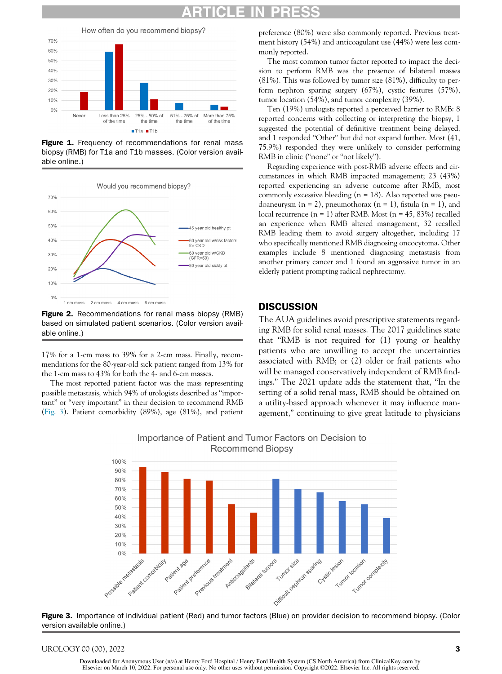# ARTICLE IN PRESS

<span id="page-4-0"></span>

Figure 1. Frequency of recommendations for renal mass biopsy (RMB) for T1a and T1b masses. (Color version available online.)

<span id="page-4-1"></span>

**Figure 2.** Recommendations for renal mass biopsy (RMB) based on simulated patient scenarios. (Color version available online.)

17% for a 1-cm mass to 39% for a 2-cm mass. Finally, recommendations for the 80-year-old sick patient ranged from 13% for the 1-cm mass to 43% for both the 4- and 6-cm masses.

<span id="page-4-2"></span>The most reported patient factor was the mass representing possible metastasis, which 94% of urologists described as "important" or "very important" in their decision to recommend RMB [\(Fig. 3\)](#page-4-2). Patient comorbidity (89%), age (81%), and patient

preference (80%) were also commonly reported. Previous treatment history (54%) and anticoagulant use (44%) were less commonly reported.

The most common tumor factor reported to impact the decision to perform RMB was the presence of bilateral masses (81%). This was followed by tumor size (81%), difficulty to perform nephron sparing surgery (67%), cystic features (57%), tumor location (54%), and tumor complexity (39%).

Ten (19%) urologists reported a perceived barrier to RMB: 8 reported concerns with collecting or interpreting the biopsy, 1 suggested the potential of definitive treatment being delayed, and 1 responded "Other" but did not expand further. Most (41, 75.9%) responded they were unlikely to consider performing RMB in clinic ("none" or "not likely").

Regarding experience with post-RMB adverse effects and circumstances in which RMB impacted management; 23 (43%) reported experiencing an adverse outcome after RMB, most commonly excessive bleeding  $(n = 18)$ . Also reported was pseudoaneurysm  $(n = 2)$ , pneumothorax  $(n = 1)$ , fistula  $(n = 1)$ , and local recurrence  $(n = 1)$  after RMB. Most  $(n = 45, 83%)$  recalled an experience when RMB altered management, 32 recalled RMB leading them to avoid surgery altogether, including 17 who specifically mentioned RMB diagnosing oncocytoma. Other examples include 8 mentioned diagnosing metastasis from another primary cancer and 1 found an aggressive tumor in an elderly patient prompting radical nephrectomy.

### **DISCUSSION**

The AUA guidelines avoid prescriptive statements regarding RMB for solid renal masses. The 2017 guidelines state that "RMB is not required for (1) young or healthy patients who are unwilling to accept the uncertainties associated with RMB; or (2) older or frail patients who will be managed conservatively independent of RMB findings." The 2021 update adds the statement that, "In the setting of a solid renal mass, RMB should be obtained on a utility-based approach whenever it may influence management," continuing to give great latitude to physicians



Importance of Patient and Tumor Factors on Decision to **Recommend Biopsy** 

Figure 3. Importance of individual patient (Red) and tumor factors (Blue) on provider decision to recommend biopsy. (Color version available online.)

#### UROLOGY 00 (00), 2022 3

Downloaded for Anonymous User (n/a) at Henry Ford Hospital / Henry Ford Health System (CS North America) from ClinicalKey.com by Elsevier on March 10, 2022. For personal use only. No other uses without permission. Copyright ©2022. Elsevier Inc. All rights reserved.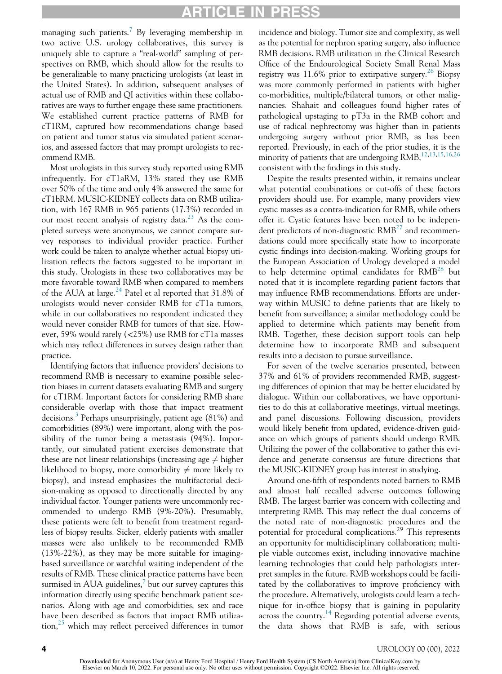## ARTICLE

managing such patients.<sup>[7](#page-6-6)</sup> By leveraging membership in two active U.S. urology collaboratives, this survey is uniquely able to capture a "real-world" sampling of perspectives on RMB, which should allow for the results to be generalizable to many practicing urologists (at least in the United States). In addition, subsequent analyses of actual use of RMB and QI activities within these collaboratives are ways to further engage these same practitioners. We established current practice patterns of RMB for cT1RM, captured how recommendations change based on patient and tumor status via simulated patient scenarios, and assessed factors that may prompt urologists to recommend RMB.

Most urologists in this survey study reported using RMB infrequently. For cT1aRM, 13% stated they use RMB over 50% of the time and only 4% answered the same for cT1bRM. MUSIC-KIDNEY collects data on RMB utilization, with 167 RMB in 965 patients (17.3%) recorded in our most recent analysis of registry data.<sup>[23](#page-7-7)</sup> As the completed surveys were anonymous, we cannot compare survey responses to individual provider practice. Further work could be taken to analyze whether actual biopsy utilization reflects the factors suggested to be important in this study. Urologists in these two collaboratives may be more favorable toward RMB when compared to members of the AUA at large.<sup>[24](#page-7-8)</sup> Patel et al reported that  $31.8\%$  of urologists would never consider RMB for cT1a tumors, while in our collaboratives no respondent indicated they would never consider RMB for tumors of that size. However, 59% would rarely (<25%) use RMB for cT1a masses which may reflect differences in survey design rather than practice.

Identifying factors that influence providers' decisions to recommend RMB is necessary to examine possible selection biases in current datasets evaluating RMB and surgery for cT1RM. Important factors for considering RMB share considerable overlap with those that impact treatment decisions.<sup>[3](#page-6-2)</sup> Perhaps unsurprisingly, patient age (81%) and comorbidities (89%) were important, along with the possibility of the tumor being a metastasis (94%). Importantly, our simulated patient exercises demonstrate that these are not linear relationships (increasing age  $\neq$  higher likelihood to biopsy, more comorbidity  $\neq$  more likely to biopsy), and instead emphasizes the multifactorial decision-making as opposed to directionally directed by any individual factor. Younger patients were uncommonly recommended to undergo RMB (9%-20%). Presumably, these patients were felt to benefit from treatment regardless of biopsy results. Sicker, elderly patients with smaller masses were also unlikely to be recommended RMB (13%-22%), as they may be more suitable for imagingbased surveillance or watchful waiting independent of the results of RMB. These clinical practice patterns have been surmised in AUA guidelines, $\frac{7}{1}$  $\frac{7}{1}$  $\frac{7}{1}$  but our survey captures this information directly using specific benchmark patient scenarios. Along with age and comorbidities, sex and race have been described as factors that impact RMB utilization, $^{25}$  $^{25}$  $^{25}$  which may reflect perceived differences in tumor

incidence and biology. Tumor size and complexity, as well as the potential for nephron sparing surgery, also influence RMB decisions. RMB utilization in the Clinical Research Office of the Endourological Society Small Renal Mass registry was  $11.6\%$  prior to extirpative surgery.<sup>[26](#page-7-10)</sup> Biopsy was more commonly performed in patients with higher co-morbidities, multiple/bilateral tumors, or other malignancies. Shahait and colleagues found higher rates of pathological upstaging to pT3a in the RMB cohort and use of radical nephrectomy was higher than in patients undergoing surgery without prior RMB, as has been reported. Previously, in each of the prior studies, it is the minority of patients that are undergoing RMB,<sup>12,[13](#page-6-12)[,15,](#page-6-14)[16,](#page-7-0)[26](#page-7-10)</sup> consistent with the findings in this study.

Despite the results presented within, it remains unclear what potential combinations or cut-offs of these factors providers should use. For example, many providers view cystic masses as a contra-indication for RMB, while others offer it. Cystic features have been noted to be independent predictors of non-diagnostic  $RMB^{27}$  $RMB^{27}$  $RMB^{27}$  and recommendations could more specifically state how to incorporate cystic findings into decision-making. Working groups for the European Association of Urology developed a model to help determine optimal candidates for  $RMB^{28}$  $RMB^{28}$  $RMB^{28}$  but noted that it is incomplete regarding patient factors that may influence RMB recommendations. Efforts are underway within MUSIC to define patients that are likely to benefit from surveillance; a similar methodology could be applied to determine which patients may benefit from RMB. Together, these decision support tools can help determine how to incorporate RMB and subsequent results into a decision to pursue surveillance.

For seven of the twelve scenarios presented, between 37% and 61% of providers recommended RMB, suggesting differences of opinion that may be better elucidated by dialogue. Within our collaboratives, we have opportunities to do this at collaborative meetings, virtual meetings, and panel discussions. Following discussion, providers would likely benefit from updated, evidence-driven guidance on which groups of patients should undergo RMB. Utilizing the power of the collaborative to gather this evidence and generate consensus are future directions that the MUSIC-KIDNEY group has interest in studying.

Around one-fifth of respondents noted barriers to RMB and almost half recalled adverse outcomes following RMB. The largest barrier was concern with collecting and interpreting RMB. This may reflect the dual concerns of the noted rate of non-diagnostic procedures and the potential for procedural complications.<sup>29</sup> This represents an opportunity for multidisciplinary collaboration; multiple viable outcomes exist, including innovative machine learning technologies that could help pathologists interpret samples in the future. RMB workshops could be facilitated by the collaboratives to improve proficiency with the procedure. Alternatively, urologists could learn a technique for in-office biopsy that is gaining in popularity across the country.[14](#page-6-13) Regarding potential adverse events, the data shows that RMB is safe, with serious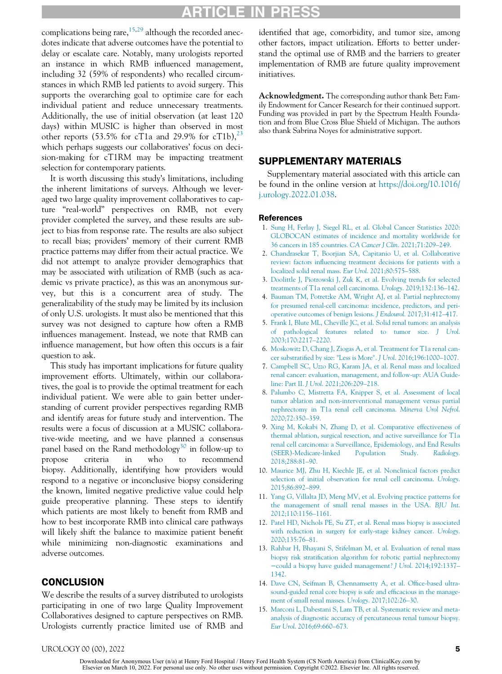# ARTICLE IN PRES

complications being rare,  $15,29$  $15,29$  although the recorded anecdotes indicate that adverse outcomes have the potential to delay or escalate care. Notably, many urologists reported an instance in which RMB influenced management, including 32 (59% of respondents) who recalled circumstances in which RMB led patients to avoid surgery. This supports the overarching goal to optimize care for each individual patient and reduce unnecessary treatments. Additionally, the use of initial observation (at least 120 days) within MUSIC is higher than observed in most other reports (53.5% for cT1a and 29.9% for cT1b), $^{23}$  $^{23}$  $^{23}$ which perhaps suggests our collaboratives' focus on decision-making for cT1RM may be impacting treatment selection for contemporary patients.

<span id="page-6-15"></span><span id="page-6-1"></span><span id="page-6-0"></span>It is worth discussing this study's limitations, including the inherent limitations of surveys. Although we leveraged two large quality improvement collaboratives to capture "real-world" perspectives on RMB, not every provider completed the survey, and these results are subject to bias from response rate. The results are also subject to recall bias; providers' memory of their current RMB practice patterns may differ from their actual practice. We did not attempt to analyze provider demographics that may be associated with utilization of RMB (such as academic vs private practice), as this was an anonymous survey, but this is a concurrent area of study. The generalizability of the study may be limited by its inclusion of only U.S. urologists. It must also be mentioned that this survey was not designed to capture how often a RMB influences management. Instead, we note that RMB can influence management, but how often this occurs is a fair question to ask.

<span id="page-6-9"></span><span id="page-6-8"></span><span id="page-6-7"></span><span id="page-6-6"></span><span id="page-6-5"></span><span id="page-6-4"></span><span id="page-6-3"></span><span id="page-6-2"></span>This study has important implications for future quality improvement efforts. Ultimately, within our collaboratives, the goal is to provide the optimal treatment for each individual patient. We were able to gain better understanding of current provider perspectives regarding RMB and identify areas for future study and intervention. The results were a focus of discussion at a MUSIC collaborative-wide meeting, and we have planned a consensus panel based on the Rand methodology<sup>[30](#page-7-14)</sup> in follow-up to propose criteria in who to recommend biopsy. Additionally, identifying how providers would respond to a negative or inconclusive biopsy considering the known, limited negative predictive value could help guide preoperative planning. These steps to identify which patients are most likely to benefit from RMB and how to best incorporate RMB into clinical care pathways will likely shift the balance to maximize patient benefit while minimizing non-diagnostic examinations and adverse outcomes.

### <span id="page-6-13"></span><span id="page-6-12"></span><span id="page-6-11"></span><span id="page-6-10"></span>**CONCLUSION**

<span id="page-6-14"></span>We describe the results of a survey distributed to urologists participating in one of two large Quality Improvement Collaboratives designed to capture perspectives on RMB. Urologists currently practice limited use of RMB and

identified that age, comorbidity, and tumor size, among other factors, impact utilization. Efforts to better understand the optimal use of RMB and the barriers to greater implementation of RMB are future quality improvement initiatives.

Acknowledgment. The corresponding author thank Betz Family Endowment for Cancer Research for their continued support. Funding was provided in part by the Spectrum Health Foundation and from Blue Cross Blue Shield of Michigan. The authors also thank Sabrina Noyes for administrative support.

### SUPPLEMENTARY MATERIALS

Supplementary material associated with this article can be found in the online version at [https://doi.org/10.1016/](https://doi.org/10.1016/j.urology.2022.01.038) [j.urology.2022.01.038](https://doi.org/10.1016/j.urology.2022.01.038).

#### References

- 1. [Sung H, Ferlay J, Siegel RL, et al. Global Cancer Statistics 2020:](http://refhub.elsevier.com/S0090-4295(22)00093-0/sbref0001) [GLOBOCAN estimates of incidence and mortality worldwide for](http://refhub.elsevier.com/S0090-4295(22)00093-0/sbref0001) [36 cancers in 185 countries.](http://refhub.elsevier.com/S0090-4295(22)00093-0/sbref0001) CA Cancer J Clin. 2021;71:209–249.
- 2. [Chandrasekar T, Boorjian SA, Capitanio U, et al. Collaborative](http://refhub.elsevier.com/S0090-4295(22)00093-0/sbref0002) review: factors infl[uencing treatment decisions for patients with a](http://refhub.elsevier.com/S0090-4295(22)00093-0/sbref0002) [localized solid renal mass.](http://refhub.elsevier.com/S0090-4295(22)00093-0/sbref0002) Eur Urol. 2021;80:575–588.
- 3. [Doolittle J, Piotrowski J, Zuk K, et al. Evolving trends for selected](http://refhub.elsevier.com/S0090-4295(22)00093-0/sbref0003) [treatments of T1a renal cell carcinoma.](http://refhub.elsevier.com/S0090-4295(22)00093-0/sbref0003) Urology. 2019;132:136–142.
- 4. [Bauman TM, Potretzke AM, Wright AJ, et al. Partial nephrectomy](http://refhub.elsevier.com/S0090-4295(22)00093-0/sbref0004) [for presumed renal-cell carcinoma: incidence, predictors, and peri](http://refhub.elsevier.com/S0090-4295(22)00093-0/sbref0004)[operative outcomes of benign lesions.](http://refhub.elsevier.com/S0090-4295(22)00093-0/sbref0004) J Endourol. 2017;31:412–417.
- 5. [Frank I, Blute ML, Cheville JC, et al. Solid renal tumors: an analysis](http://refhub.elsevier.com/S0090-4295(22)00093-0/sbref0005) [of pathological features related to tumor size.](http://refhub.elsevier.com/S0090-4295(22)00093-0/sbref0005) J Urol. [2003;170:2217](http://refhub.elsevier.com/S0090-4295(22)00093-0/sbref0005)–2220.
- 6. [Moskowitz D, Chang J, Ziogas A, et al. Treatment for T1a renal can](http://refhub.elsevier.com/S0090-4295(22)00093-0/sbref0006)cer substratifi[ed by size: "Less is More".](http://refhub.elsevier.com/S0090-4295(22)00093-0/sbref0006) J Urol. 2016;196:1000–1007.
- 7. [Campbell SC, Uzzo RG, Karam JA, et al. Renal mass and localized](http://refhub.elsevier.com/S0090-4295(22)00093-0/sbref0007) [renal cancer: evaluation, management, and follow-up: AUA Guide](http://refhub.elsevier.com/S0090-4295(22)00093-0/sbref0007)line: Part II. J Urol[. 2021;206:209](http://refhub.elsevier.com/S0090-4295(22)00093-0/sbref0007)–218.
- 8. [Palumbo C, Mistretta FA, Knipper S, et al. Assessment of local](http://refhub.elsevier.com/S0090-4295(22)00093-0/sbref0008) [tumor ablation and non-interventional management versus partial](http://refhub.elsevier.com/S0090-4295(22)00093-0/sbref0008) [nephrectomy in T1a renal cell carcinoma.](http://refhub.elsevier.com/S0090-4295(22)00093-0/sbref0008) Minerva Urol Nefrol. [2020;72:350](http://refhub.elsevier.com/S0090-4295(22)00093-0/sbref0008)–359.
- 9. [Xing M, Kokabi N, Zhang D, et al. Comparative effectiveness of](http://refhub.elsevier.com/S0090-4295(22)00093-0/sbref0009) [thermal ablation, surgical resection, and active surveillance for T1a](http://refhub.elsevier.com/S0090-4295(22)00093-0/sbref0009) [renal cell carcinoma: a Surveillance, Epidemiology, and End Results](http://refhub.elsevier.com/S0090-4295(22)00093-0/sbref0009) [\(SEER\)-Medicare-linked Population Study.](http://refhub.elsevier.com/S0090-4295(22)00093-0/sbref0009) Radiology. [2018;288:81](http://refhub.elsevier.com/S0090-4295(22)00093-0/sbref0009)–90.
- 10. [Maurice MJ, Zhu H, Kiechle JE, et al. Nonclinical factors predict](http://refhub.elsevier.com/S0090-4295(22)00093-0/sbref0010) [selection of initial observation for renal cell carcinoma.](http://refhub.elsevier.com/S0090-4295(22)00093-0/sbref0010) Urology. [2015;86:892](http://refhub.elsevier.com/S0090-4295(22)00093-0/sbref0010)–899.
- 11. [Yang G, Villalta JD, Meng MV, et al. Evolving practice patterns for](http://refhub.elsevier.com/S0090-4295(22)00093-0/sbref0011) [the management of small renal masses in the USA.](http://refhub.elsevier.com/S0090-4295(22)00093-0/sbref0011) BJU Int. [2012;110:1156](http://refhub.elsevier.com/S0090-4295(22)00093-0/sbref0011)–1161.
- 12. [Patel HD, Nichols PE, Su ZT, et al. Renal mass biopsy is associated](http://refhub.elsevier.com/S0090-4295(22)00093-0/sbref0012) [with reduction in surgery for early-stage kidney cancer.](http://refhub.elsevier.com/S0090-4295(22)00093-0/sbref0012) Urology. [2020;135:76](http://refhub.elsevier.com/S0090-4295(22)00093-0/sbref0012)–81.
- 13. [Rahbar H, Bhayani S, Stifelman M, et al. Evaluation of renal mass](http://refhub.elsevier.com/S0090-4295(22)00093-0/sbref0013) biopsy risk stratifi[cation algorithm for robotic partial nephrectomy](http://refhub.elsevier.com/S0090-4295(22)00093-0/sbref0013) −[could a biopsy have guided management?](http://refhub.elsevier.com/S0090-4295(22)00093-0/sbref0013) J Urol. 2014;192:1337– [1342.](http://refhub.elsevier.com/S0090-4295(22)00093-0/sbref0013)
- 14. [Dave CN, Seifman B, Chennamsetty A, et al. Of](http://refhub.elsevier.com/S0090-4295(22)00093-0/sbref0014)fice-based ultra[sound-guided renal core biopsy is safe and ef](http://refhub.elsevier.com/S0090-4295(22)00093-0/sbref0014)ficacious in the manage[ment of small renal masses.](http://refhub.elsevier.com/S0090-4295(22)00093-0/sbref0014) Urology. 2017;102:26–30.
- 15. [Marconi L, Dabestani S, Lam TB, et al. Systematic review and meta](http://refhub.elsevier.com/S0090-4295(22)00093-0/sbref0015)[analysis of diagnostic accuracy of percutaneous renal tumour biopsy.](http://refhub.elsevier.com/S0090-4295(22)00093-0/sbref0015) Eur Urol[. 2016;69:660](http://refhub.elsevier.com/S0090-4295(22)00093-0/sbref0015)–673.

#### UROLOGY 00 (00), 2022 5